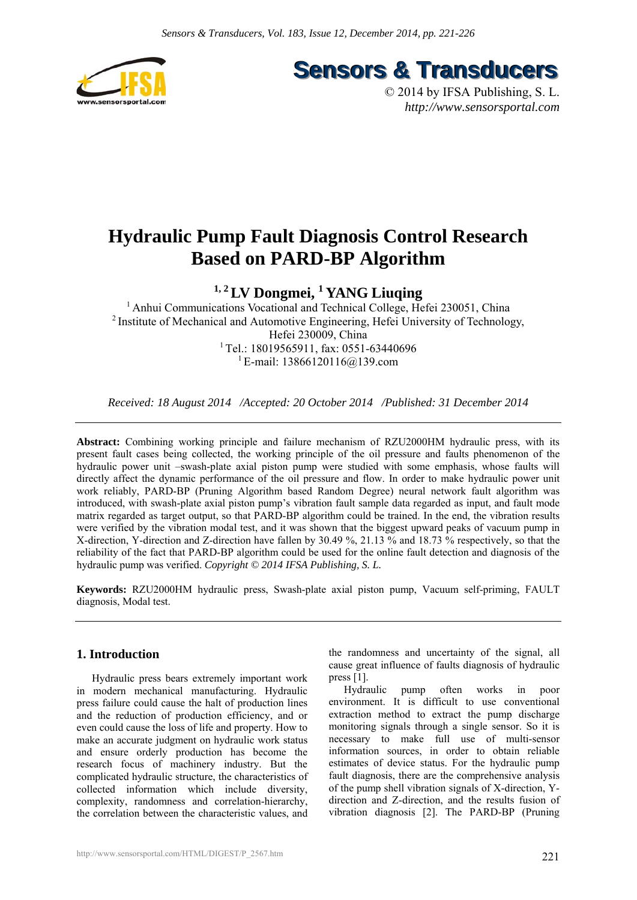

**Sensors & Transducers** 

© 2014 by IFSA Publishing, S. L. *http://www.sensorsportal.com*

# **Hydraulic Pump Fault Diagnosis Control Research Based on PARD-BP Algorithm**

## **1, 2 LV Dongmei, 1 YANG Liuqing**

<sup>1</sup> Anhui Communications Vocational and Technical College, Hefei 230051, China 2 Institute of Mechanical and Automotive Engineering, Hefei University of Technology, Hefei 230009, China <sup>1</sup> Tel.: 18019565911, fax: 0551-63440696 <sup>1</sup> E-mail: 13866120116@139.com

*Received: 18 August 2014 /Accepted: 20 October 2014 /Published: 31 December 2014* 

**Abstract:** Combining working principle and failure mechanism of RZU2000HM hydraulic press, with its present fault cases being collected, the working principle of the oil pressure and faults phenomenon of the hydraulic power unit –swash-plate axial piston pump were studied with some emphasis, whose faults will directly affect the dynamic performance of the oil pressure and flow. In order to make hydraulic power unit work reliably, PARD-BP (Pruning Algorithm based Random Degree) neural network fault algorithm was introduced, with swash-plate axial piston pump's vibration fault sample data regarded as input, and fault mode matrix regarded as target output, so that PARD-BP algorithm could be trained. In the end, the vibration results were verified by the vibration modal test, and it was shown that the biggest upward peaks of vacuum pump in X-direction, Y-direction and Z-direction have fallen by 30.49 %, 21.13 % and 18.73 % respectively, so that the reliability of the fact that PARD-BP algorithm could be used for the online fault detection and diagnosis of the hydraulic pump was verified. *Copyright © 2014 IFSA Publishing, S. L.*

**Keywords:** RZU2000HM hydraulic press, Swash-plate axial piston pump, Vacuum self-priming, FAULT diagnosis, Modal test.

## **1. Introduction**

Hydraulic press bears extremely important work in modern mechanical manufacturing. Hydraulic press failure could cause the halt of production lines and the reduction of production efficiency, and or even could cause the loss of life and property. How to make an accurate judgment on hydraulic work status and ensure orderly production has become the research focus of machinery industry. But the complicated hydraulic structure, the characteristics of collected information which include diversity, complexity, randomness and correlation-hierarchy, the correlation between the characteristic values, and

the randomness and uncertainty of the signal, all cause great influence of faults diagnosis of hydraulic press [1].

Hydraulic pump often works in poor environment. It is difficult to use conventional extraction method to extract the pump discharge monitoring signals through a single sensor. So it is necessary to make full use of multi-sensor information sources, in order to obtain reliable estimates of device status. For the hydraulic pump fault diagnosis, there are the comprehensive analysis of the pump shell vibration signals of X-direction, Ydirection and Z-direction, and the results fusion of vibration diagnosis [2]. The PARD-BP (Pruning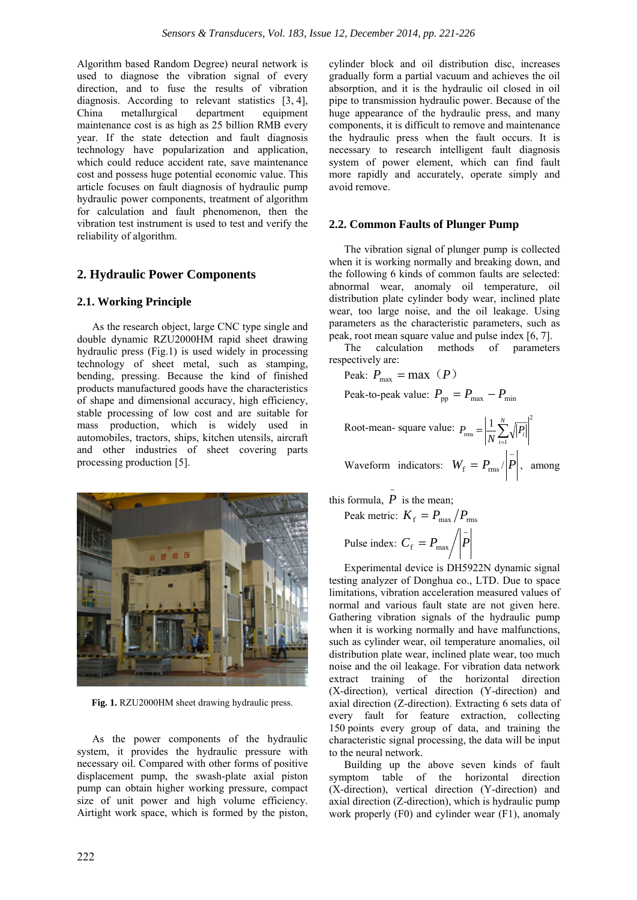Algorithm based Random Degree) neural network is used to diagnose the vibration signal of every direction, and to fuse the results of vibration diagnosis. According to relevant statistics [3, 4], China metallurgical department equipment maintenance cost is as high as 25 billion RMB every year. If the state detection and fault diagnosis technology have popularization and application, which could reduce accident rate, save maintenance cost and possess huge potential economic value. This article focuses on fault diagnosis of hydraulic pump hydraulic power components, treatment of algorithm for calculation and fault phenomenon, then the vibration test instrument is used to test and verify the reliability of algorithm.

## **2. Hydraulic Power Components**

## **2.1. Working Principle**

As the research object, large CNC type single and double dynamic RZU2000HM rapid sheet drawing hydraulic press (Fig.1) is used widely in processing technology of sheet metal, such as stamping, bending, pressing. Because the kind of finished products manufactured goods have the characteristics of shape and dimensional accuracy, high efficiency, stable processing of low cost and are suitable for mass production, which is widely used in automobiles, tractors, ships, kitchen utensils, aircraft and other industries of sheet covering parts processing production [5].



Fig. 1. RZU2000HM sheet drawing hydraulic press.

As the power components of the hydraulic system, it provides the hydraulic pressure with necessary oil. Compared with other forms of positive displacement pump, the swash-plate axial piston pump can obtain higher working pressure, compact size of unit power and high volume efficiency. Airtight work space, which is formed by the piston, cylinder block and oil distribution disc, increases gradually form a partial vacuum and achieves the oil absorption, and it is the hydraulic oil closed in oil pipe to transmission hydraulic power. Because of the huge appearance of the hydraulic press, and many components, it is difficult to remove and maintenance the hydraulic press when the fault occurs. It is necessary to research intelligent fault diagnosis system of power element, which can find fault more rapidly and accurately, operate simply and avoid remove.

## **2.2. Common Faults of Plunger Pump**

The vibration signal of plunger pump is collected when it is working normally and breaking down, and the following 6 kinds of common faults are selected: abnormal wear, anomaly oil temperature, oil distribution plate cylinder body wear, inclined plate wear, too large noise, and the oil leakage. Using parameters as the characteristic parameters, such as peak, root mean square value and pulse index [6, 7].

The calculation methods of parameters respectively are:

$$
Peak: P_{\text{max}} = \text{max} \ (P)
$$

Peak-to-peak value:  $P_{\text{pp}} = P_{\text{max}} - P_{\text{min}}$ 

Root-mean-square value: 
$$
P_{\text{rms}} = \left| \frac{1}{N} \sum_{i=1}^{N} \sqrt{P_i} \right|
$$

Waveform indicators:  $W_f = P_{\text{rms}} / |\bar{P}|$ , among

2

this formula, 
$$
\overline{P}
$$
 is the mean;

Peak metric: 
$$
K_f = P_{\text{max}}/P_{\text{rms}}
$$
  
pulse index:  $C_f = P_{\text{max}}/|\bar{P}|$ 

Experimental device is DH5922N dynamic signal testing analyzer of Donghua co., LTD. Due to space limitations, vibration acceleration measured values of normal and various fault state are not given here. Gathering vibration signals of the hydraulic pump when it is working normally and have malfunctions, such as cylinder wear, oil temperature anomalies, oil distribution plate wear, inclined plate wear, too much noise and the oil leakage. For vibration data network extract training of the horizontal direction (X-direction), vertical direction (Y-direction) and axial direction (Z-direction). Extracting 6 sets data of every fault for feature extraction, collecting 150 points every group of data, and training the characteristic signal processing, the data will be input to the neural network.

Building up the above seven kinds of fault symptom table of the horizontal direction (X-direction), vertical direction (Y-direction) and axial direction (Z-direction), which is hydraulic pump work properly (F0) and cylinder wear (F1), anomaly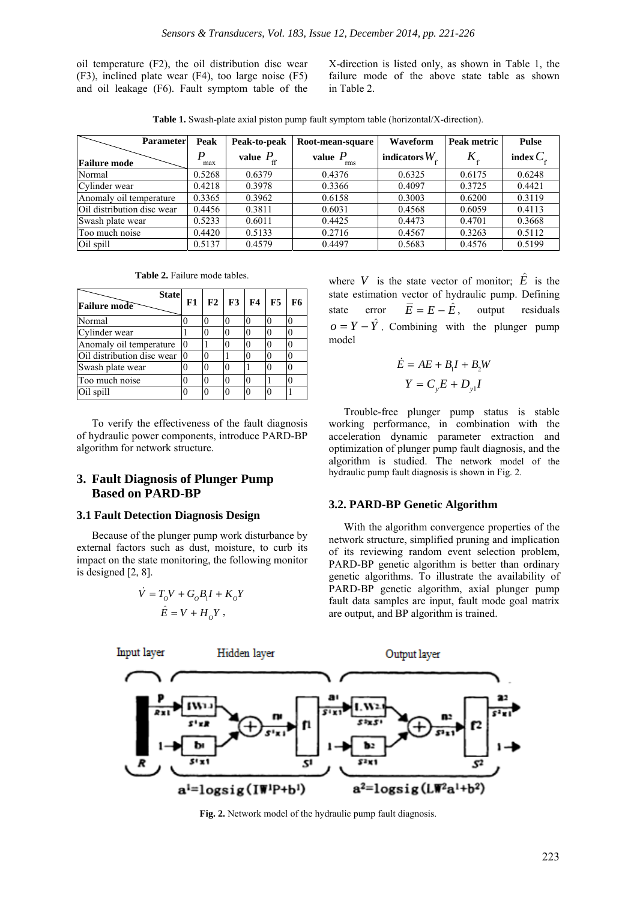oil temperature (F2), the oil distribution disc wear (F3), inclined plate wear (F4), too large noise (F5) and oil leakage (F6). Fault symptom table of the X-direction is listed only, as shown in Table 1, the failure mode of the above state table as shown in Table 2.

**Table 1.** Swash-plate axial piston pump fault symptom table (horizontal/X-direction).

| <b>Parameter</b>           | Peak     | Peak-to-peak       | Root-mean-square | Waveform               | Peak metric                | <b>Pulse</b>         |
|----------------------------|----------|--------------------|------------------|------------------------|----------------------------|----------------------|
| <b>Failure mode</b>        | P<br>max | value $P_{\alpha}$ | value $P$<br>rms | indicators $W_{\rm c}$ | $K_{\scriptscriptstyle c}$ | index $C_{\epsilon}$ |
| Normal                     | 0.5268   | 0.6379             | 0.4376           | 0.6325                 | 0.6175                     | 0.6248               |
| Cylinder wear              | 0.4218   | 0.3978             | 0.3366           | 0.4097                 | 0.3725                     | 0.4421               |
| Anomaly oil temperature    | 0.3365   | 0.3962             | 0.6158           | 0.3003                 | 0.6200                     | 0.3119               |
| Oil distribution disc wear | 0.4456   | 0.3811             | 0.6031           | 0.4568                 | 0.6059                     | 0.4113               |
| Swash plate wear           | 0.5233   | 0.6011             | 0.4425           | 0.4473                 | 0.4701                     | 0.3668               |
| Too much noise             | 0.4420   | 0.5133             | 0.2716           | 0.4567                 | 0.3263                     | 0.5112               |
| Oil spill                  | 0.5137   | 0.4579             | 0.4497           | 0.5683                 | 0.4576                     | 0.5199               |

**Table 2.** Failure mode tables.

| <b>State</b><br><b>Failure mode</b> | F1 | F2       | F3 | <b>F4</b> | F5 | F6 |
|-------------------------------------|----|----------|----|-----------|----|----|
| Normal                              |    |          |    |           | 0  |    |
| Cylinder wear                       |    |          |    |           | 0  |    |
| Anomaly oil temperature             |    |          |    |           | 0  |    |
| Oil distribution disc wear          |    | 0        |    |           | 0  |    |
| Swash plate wear                    |    | 0        |    |           |    |    |
| Too much noise                      |    | 0        |    |           |    |    |
| Oil spill                           |    | $\Omega$ |    |           | O  |    |

To verify the effectiveness of the fault diagnosis of hydraulic power components, introduce PARD-BP algorithm for network structure.

## **3. Fault Diagnosis of Plunger Pump Based on PARD-BP**

#### **3.1 Fault Detection Diagnosis Design**

Because of the plunger pump work disturbance by external factors such as dust, moisture, to curb its impact on the state monitoring, the following monitor is designed [2, 8].

$$
\dot{V} = T_o V + G_o B_l I + K_o Y
$$
  

$$
\hat{E} = V + H_o Y,
$$

where  $V$  is the state vector of monitor;  $E$  is the state estimation vector of hydraulic pump. Defining state error  $\overline{E} = E - \hat{E}$ , output residuals  $\rho = Y - \hat{Y}$ . Combining with the plunger pump model

$$
\dot{E} = AE + B_1I + B_2W
$$

$$
Y = C_yE + D_{y1}I
$$

Trouble-free plunger pump status is stable working performance, in combination with the acceleration dynamic parameter extraction and optimization of plunger pump fault diagnosis, and the algorithm is studied. The network model of the hydraulic pump fault diagnosis is shown in Fig. 2.

#### **3.2. PARD-BP Genetic Algorithm**

With the algorithm convergence properties of the network structure, simplified pruning and implication of its reviewing random event selection problem, PARD-BP genetic algorithm is better than ordinary genetic algorithms. To illustrate the availability of PARD-BP genetic algorithm, axial plunger pump fault data samples are input, fault mode goal matrix are output, and BP algorithm is trained.



**Fig. 2.** Network model of the hydraulic pump fault diagnosis.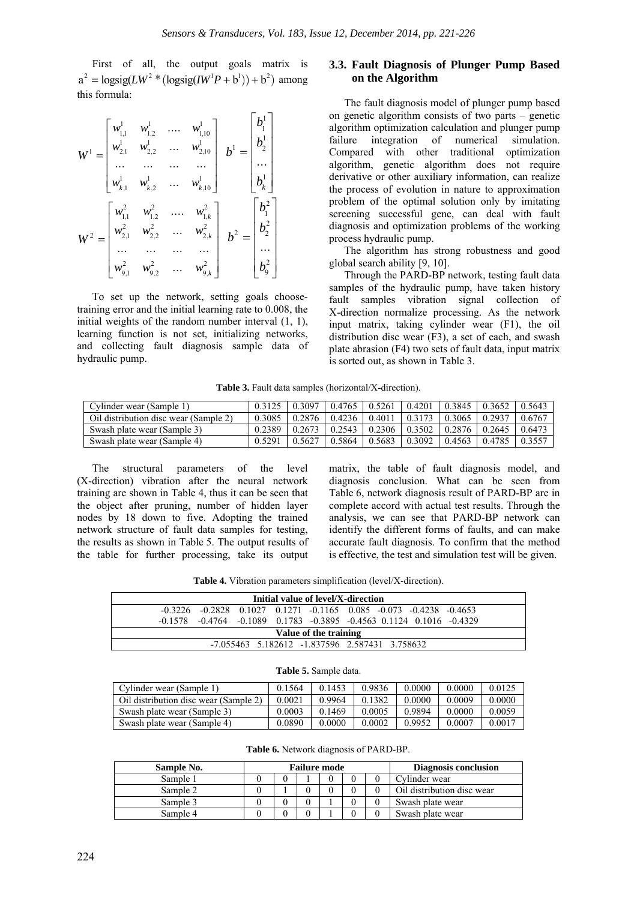First of all, the output goals matrix is  $a^{2} = \text{logsig}(LW^{2} * (\text{logsig}(IW^{1}P + b^{1})) + b^{2})$  among this formula:

$$
W^{1} = \begin{bmatrix} w_{1,1}^{1} & w_{1,2}^{1} & \dots & w_{1,10}^{1} \\ w_{2,1}^{1} & w_{2,2}^{1} & \dots & w_{2,10}^{1} \\ \dots & \dots & \dots & \dots \\ w_{k,1}^{1} & w_{k,2}^{1} & \dots & w_{k,10}^{1} \end{bmatrix} \quad b^{1} = \begin{bmatrix} b_{1}^{1} \\ b_{2}^{1} \\ \dots \\ b_{k}^{1} \end{bmatrix}
$$

$$
W^{2} = \begin{bmatrix} w_{1,1}^{2} & w_{1,2}^{2} & \dots & w_{1,k}^{2} \\ w_{2,1}^{2} & w_{2,2}^{2} & \dots & w_{2,k}^{2} \\ \dots & \dots & \dots & \dots \\ w_{9,1}^{2} & w_{9,2}^{2} & \dots & w_{9,k}^{2} \end{bmatrix} \quad b^{2} = \begin{bmatrix} b_{1}^{2} \\ b_{2}^{2} \\ \dots \\ b_{9}^{2} \end{bmatrix}
$$

To set up the network, setting goals choosetraining error and the initial learning rate to 0.008, the initial weights of the random number interval (1, 1), learning function is not set, initializing networks, and collecting fault diagnosis sample data of hydraulic pump.

## **3.3. Fault Diagnosis of Plunger Pump Based on the Algorithm**

The fault diagnosis model of plunger pump based on genetic algorithm consists of two parts – genetic algorithm optimization calculation and plunger pump failure integration of numerical simulation. Compared with other traditional optimization algorithm, genetic algorithm does not require derivative or other auxiliary information, can realize the process of evolution in nature to approximation problem of the optimal solution only by imitating screening successful gene, can deal with fault diagnosis and optimization problems of the working process hydraulic pump.

The algorithm has strong robustness and good global search ability [9, 10].

Through the PARD-BP network, testing fault data samples of the hydraulic pump, have taken history fault samples vibration signal collection of X-direction normalize processing. As the network input matrix, taking cylinder wear (F1), the oil distribution disc wear (F3), a set of each, and swash plate abrasion (F4) two sets of fault data, input matrix is sorted out, as shown in Table 3.

**Table 3.** Fault data samples (horizontal/X-direction).

| Cylinder wear (Sample 1)              |        | $0.3125$   $0.3097$   $0.4765$   $0.5261$   $0.4201$   $0.3845$   $0.3652$   $0.5643$ |  |                     |         |
|---------------------------------------|--------|---------------------------------------------------------------------------------------|--|---------------------|---------|
| Oil distribution disc wear (Sample 2) |        | $0.3085$   $0.2876$   $0.4236$   $0.4011$   $0.3173$   $0.3065$   $0.2937$            |  |                     | -0.6767 |
| Swash plate wear (Sample 3)           |        | $0.2389$   $0.2673$   $0.2543$   $0.2306$   $0.3502$   $0.2876$                       |  | $0.2645 \pm 0.6473$ |         |
| Swash plate wear (Sample 4)           | 0.5291 | 0.5627   0.5864   0.5683   0.3092   0.4563   0.4785   0.3557                          |  |                     |         |

The structural parameters of the level (X-direction) vibration after the neural network training are shown in Table 4, thus it can be seen that the object after pruning, number of hidden layer nodes by 18 down to five. Adopting the trained network structure of fault data samples for testing, the results as shown in Table 5. The output results of the table for further processing, take its output matrix, the table of fault diagnosis model, and diagnosis conclusion. What can be seen from Table 6, network diagnosis result of PARD-BP are in complete accord with actual test results. Through the analysis, we can see that PARD-BP network can identify the different forms of faults, and can make accurate fault diagnosis. To confirm that the method is effective, the test and simulation test will be given.

**Table 4.** Vibration parameters simplification (level/X-direction).

| Initial value of level/X-direction               |  |  |  |  |                                                                                        |  |  |  |
|--------------------------------------------------|--|--|--|--|----------------------------------------------------------------------------------------|--|--|--|
|                                                  |  |  |  |  | $-0.3226$ $-0.2828$ $0.1027$ $0.1271$ $-0.1165$ $0.085$ $-0.073$ $-0.4238$ $-0.4653$   |  |  |  |
|                                                  |  |  |  |  | $-0.1578$ $-0.4764$ $-0.1089$ $0.1783$ $-0.3895$ $-0.4563$ $0.1124$ $0.1016$ $-0.4329$ |  |  |  |
| Value of the training                            |  |  |  |  |                                                                                        |  |  |  |
| $-7.055463$ 5.182612 -1.837596 2.587431 3.758632 |  |  |  |  |                                                                                        |  |  |  |

#### **Table 5.** Sample data.

| Cylinder wear (Sample 1)              | 0.1564 | 0.1453 | 0.9836 | 0.0000 | 0.0000 | 0.0125 |
|---------------------------------------|--------|--------|--------|--------|--------|--------|
| Oil distribution disc wear (Sample 2) | 0.0021 | 0.9964 | 0.1382 | 0.0000 | 0.0009 | 0.0000 |
| Swash plate wear (Sample 3)           | 0.0003 | 0.1469 | 0.0005 | 0.9894 | 0.0000 | 0.0059 |
| Swash plate wear (Sample 4)           | 0.0890 | 0.0000 | 0.0002 | 0.9952 | 0.0007 | 0.0017 |

**Table 6.** Network diagnosis of PARD-BP.

| Sample No. | <b>Failure mode</b> |  |  |  |  | Diagnosis conclusion |                            |
|------------|---------------------|--|--|--|--|----------------------|----------------------------|
| Sample 1   |                     |  |  |  |  |                      | Cylinder wear              |
| Sample 2   |                     |  |  |  |  |                      | Oil distribution disc wear |
| Sample 3   |                     |  |  |  |  |                      | Swash plate wear           |
| Sample 4   |                     |  |  |  |  |                      | Swash plate wear           |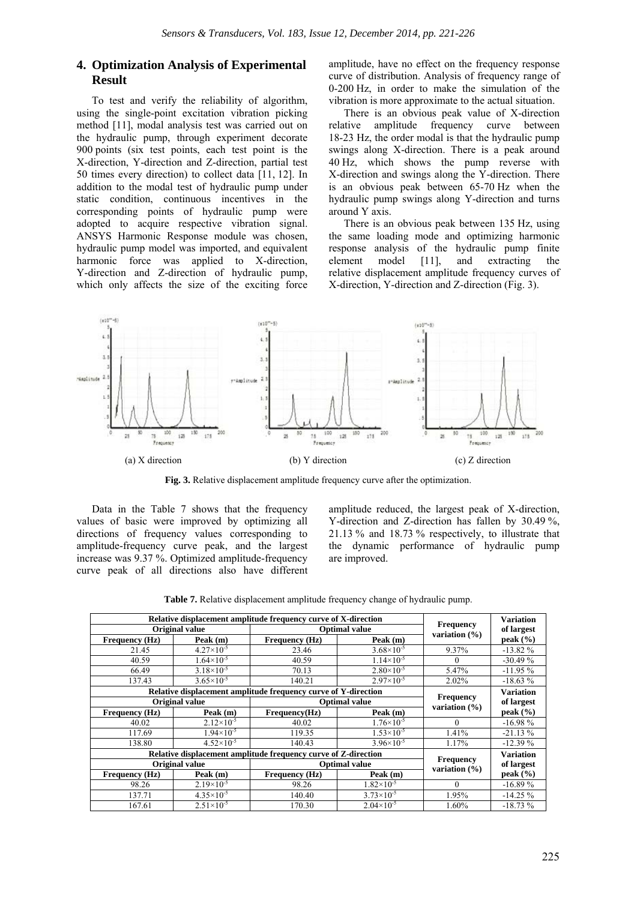## **4. Optimization Analysis of Experimental Result**

To test and verify the reliability of algorithm, using the single-point excitation vibration picking method [11], modal analysis test was carried out on the hydraulic pump, through experiment decorate 900 points (six test points, each test point is the X-direction, Y-direction and Z-direction, partial test 50 times every direction) to collect data [11, 12]. In addition to the modal test of hydraulic pump under static condition, continuous incentives in the corresponding points of hydraulic pump were adopted to acquire respective vibration signal. ANSYS Harmonic Response module was chosen, hydraulic pump model was imported, and equivalent harmonic force was applied to X-direction, Y-direction and Z-direction of hydraulic pump, which only affects the size of the exciting force

amplitude, have no effect on the frequency response curve of distribution. Analysis of frequency range of 0-200 Hz, in order to make the simulation of the vibration is more approximate to the actual situation.

There is an obvious peak value of X-direction relative amplitude frequency curve between 18-23 Hz, the order modal is that the hydraulic pump swings along X-direction. There is a peak around 40 Hz, which shows the pump reverse with X-direction and swings along the Y-direction. There is an obvious peak between 65-70 Hz when the hydraulic pump swings along Y-direction and turns around Y axis.

There is an obvious peak between 135 Hz, using the same loading mode and optimizing harmonic response analysis of the hydraulic pump finite element model [11], and extracting the relative displacement amplitude frequency curves of X-direction, Y-direction and Z-direction (Fig. 3).



**Fig. 3.** Relative displacement amplitude frequency curve after the optimization.

Data in the Table 7 shows that the frequency values of basic were improved by optimizing all directions of frequency values corresponding to amplitude-frequency curve peak, and the largest increase was 9.37 %. Optimized amplitude-frequency curve peak of all directions also have different

amplitude reduced, the largest peak of X-direction, Y-direction and Z-direction has fallen by 30.49 %, 21.13 % and 18.73 % respectively, to illustrate that the dynamic performance of hydraulic pump are improved.

|  | Table 7. Relative displacement amplitude frequency change of hydraulic pump. |  |  |  |
|--|------------------------------------------------------------------------------|--|--|--|
|  |                                                                              |  |  |  |

|                       | Relative displacement amplitude frequency curve of X-direction |                                                                |                       |                                       |                  |  |  |
|-----------------------|----------------------------------------------------------------|----------------------------------------------------------------|-----------------------|---------------------------------------|------------------|--|--|
|                       | Original value                                                 |                                                                | <b>Optimal value</b>  | Frequency<br>variation $(\% )$        | of largest       |  |  |
| <b>Frequency</b> (Hz) | Peak (m)                                                       | Frequency (Hz)<br>Peak (m)                                     |                       |                                       | peak $(\% )$     |  |  |
| 21.45                 | $4.27 \times 10^{-5}$                                          | $3.68 \times 10^{-5}$<br>23.46                                 |                       | 9.37%                                 | $-13.82%$        |  |  |
| 40.59                 | $1.64\times10^{-5}$                                            | 40.59                                                          | $1.14\times10^{-5}$   | $\Omega$                              | $-30.49%$        |  |  |
| 66.49                 | $3.18\times10^{-5}$                                            | 70.13                                                          | $2.80\times10^{-5}$   | 5.47%                                 | $-11.95%$        |  |  |
| 137.43                | $3.65 \times 10^{-5}$                                          | 140.21                                                         | $2.97\times10^{-5}$   | 2.02%                                 | $-18.63%$        |  |  |
|                       |                                                                | Relative displacement amplitude frequency curve of Y-direction |                       |                                       | <b>Variation</b> |  |  |
| Original value        |                                                                |                                                                | <b>Optimal value</b>  | <b>Frequency</b><br>variation $(\% )$ | of largest       |  |  |
| <b>Frequency (Hz)</b> | Peak (m)                                                       | Frequency(Hz)                                                  | Peak $(m)$            |                                       | peak $(\% )$     |  |  |
| 40.02                 | $2.12\times10^{-5}$                                            | 40.02                                                          | $1.76 \times 10^{-5}$ | $\Omega$                              | $-16.98%$        |  |  |
| 117.69                | $1.94 \times 10^{-5}$                                          | 119.35                                                         | $1.53\times10^{-5}$   | 1.41%                                 | $-21.13%$        |  |  |
| 138.80                | $4.52\times10^{-5}$                                            | 140.43                                                         | $3.96 \times 10^{-5}$ | 1.17%                                 | $-12.39%$        |  |  |
|                       |                                                                | Relative displacement amplitude frequency curve of Z-direction |                       |                                       | <b>Variation</b> |  |  |
|                       | Original value                                                 |                                                                | <b>Optimal value</b>  | <b>Frequency</b><br>variation $(\% )$ | of largest       |  |  |
| Frequency (Hz)        | Peak (m)                                                       | Frequency (Hz)                                                 | Peak (m)              |                                       | peak $(\% )$     |  |  |
| 98.26                 | $2.19\times10^{-5}$                                            | 98.26                                                          | $1.82\times10^{-5}$   | $\Omega$                              | $-16.89%$        |  |  |
| 137.71                | $4.35\times10^{-5}$                                            | 140.40                                                         | $3.73 \times 10^{-5}$ | 1.95%                                 | $-14.25%$        |  |  |
| 167.61                | $2.51 \times 10^{-5}$                                          | 170.30                                                         | $2.04 \times 10^{-5}$ | 1.60%                                 | $-18.73%$        |  |  |